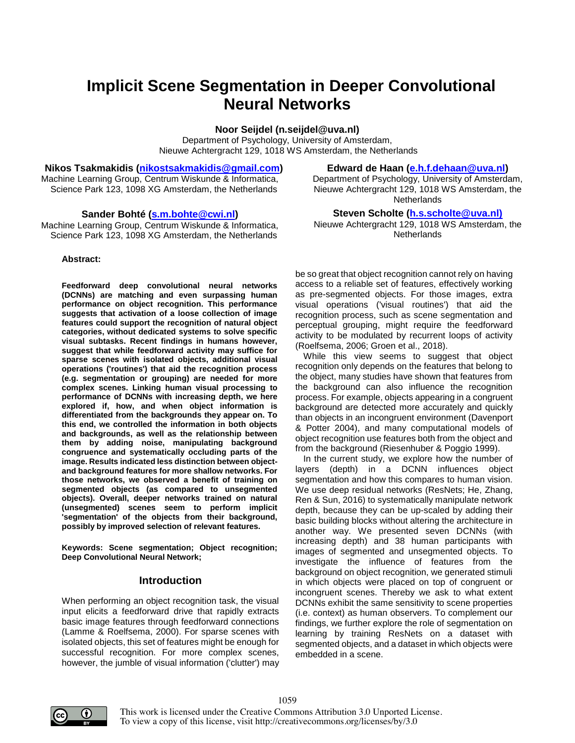# **Implicit Scene Segmentation in Deeper Convolutional Neural Networks**

**Noor Seijdel (n.seijdel@uva.nl)** Department of Psychology, University of Amsterdam, Nieuwe Achtergracht 129, 1018 WS Amsterdam, the Netherlands

**Nikos Tsakmakidis (nikostsakmakidis@gmail.com)** Machine Learning Group, Centrum Wiskunde & Informatica, Science Park 123, 1098 XG Amsterdam, the Netherlands

#### **Sander Bohté (s.m.bohte@cwi.nl)**

Machine Learning Group, Centrum Wiskunde & Informatica, Science Park 123, 1098 XG Amsterdam, the Netherlands

#### **Abstract:**

**Feedforward deep convolutional neural networks (DCNNs) are matching and even surpassing human performance on object recognition. This performance suggests that activation of a loose collection of image features could support the recognition of natural object categories, without dedicated systems to solve specific visual subtasks. Recent findings in humans however, suggest that while feedforward activity may suffice for sparse scenes with isolated objects, additional visual operations ('routines') that aid the recognition process (e.g. segmentation or grouping) are needed for more complex scenes. Linking human visual processing to performance of DCNNs with increasing depth, we here explored if, how, and when object information is differentiated from the backgrounds they appear on. To this end, we controlled the information in both objects and backgrounds, as well as the relationship between them by adding noise, manipulating background congruence and systematically occluding parts of the image. Results indicated less distinction between objectand background features for more shallow networks. For those networks, we observed a benefit of training on segmented objects (as compared to unsegmented objects). Overall, deeper networks trained on natural (unsegmented) scenes seem to perform implicit 'segmentation' of the objects from their background, possibly by improved selection of relevant features.**

**Keywords: Scene segmentation; Object recognition; Deep Convolutional Neural Network;** 

#### **Introduction**

When performing an object recognition task, the visual input elicits a feedforward drive that rapidly extracts basic image features through feedforward connections (Lamme & Roelfsema, 2000). For sparse scenes with isolated objects, this set of features might be enough for successful recognition. For more complex scenes, however, the jumble of visual information ('clutter') may

#### **Edward de Haan (e.h.f.dehaan@uva.nl)**

Department of Psychology, University of Amsterdam, Nieuwe Achtergracht 129, 1018 WS Amsterdam, the **Netherlands** 

## **Steven Scholte (h.s.scholte@uva.nl)**

Nieuwe Achtergracht 129, 1018 WS Amsterdam, the Netherlands

be so great that object recognition cannot rely on having access to a reliable set of features, effectively working as pre-segmented objects. For those images, extra visual operations ('visual routines') that aid the recognition process, such as scene segmentation and perceptual grouping, might require the feedforward activity to be modulated by recurrent loops of activity (Roelfsema, 2006; Groen et al., 2018).

While this view seems to suggest that object recognition only depends on the features that belong to the object, many studies have shown that features from the background can also influence the recognition process. For example, objects appearing in a congruent background are detected more accurately and quickly than objects in an incongruent environment (Davenport & Potter 2004), and many computational models of object recognition use features both from the object and from the background (Riesenhuber & Poggio 1999).

In the current study, we explore how the number of layers (depth) in a DCNN influences object segmentation and how this compares to human vision. We use deep residual networks (ResNets; He, Zhang, Ren & Sun, 2016) to systematically manipulate network depth, because they can be up-scaled by adding their basic building blocks without altering the architecture in another way. We presented seven DCNNs (with increasing depth) and 38 human participants with images of segmented and unsegmented objects. To investigate the influence of features from the background on object recognition, we generated stimuli in which objects were placed on top of congruent or incongruent scenes. Thereby we ask to what extent DCNNs exhibit the same sensitivity to scene properties (i.e. context) as human observers. To complement our findings, we further explore the role of segmentation on learning by training ResNets on a dataset with segmented objects, and a dataset in which objects were embedded in a scene.



This work is licensed under the Creative Commons Attribution 3.0 Unported License. To view a copy of this license, visit http://creativecommons.org/licenses/by/3.0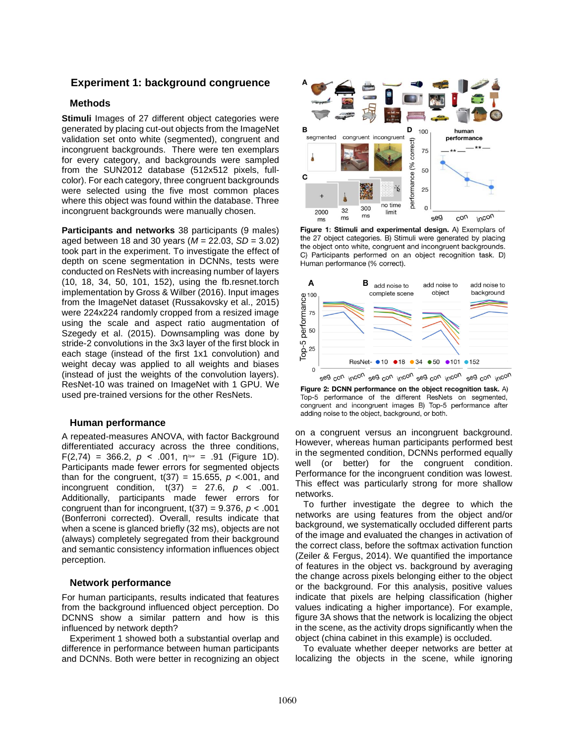## **Experiment 1: background congruence**

### **Methods**

**Stimuli** Images of 27 different object categories were generated by placing cut-out objects from the ImageNet validation set onto white (segmented), congruent and incongruent backgrounds. There were ten exemplars for every category, and backgrounds were sampled from the SUN2012 database (512x512 pixels, fullcolor). For each category, three congruent backgrounds were selected using the five most common places where this object was found within the database. Three incongruent backgrounds were manually chosen.

**Participants and networks** 38 participants (9 males) aged between 18 and 30 years (*M* = 22.03, *SD* = 3.02) took part in the experiment. To investigate the effect of depth on scene segmentation in DCNNs, tests were conducted on ResNets with increasing number of layers (10, 18, 34, 50, 101, 152), using the fb.resnet.torch implementation by Gross & Wilber (2016). Input images from the ImageNet dataset (Russakovsky et al., 2015) were 224x224 randomly cropped from a resized image using the scale and aspect ratio augmentation of Szegedy et al. (2015). Downsampling was done by stride-2 convolutions in the 3x3 layer of the first block in each stage (instead of the first 1x1 convolution) and weight decay was applied to all weights and biases (instead of just the weights of the convolution layers). ResNet-10 was trained on ImageNet with 1 GPU. We used pre-trained versions for the other ResNets.

#### **Human performance**

A repeated-measures ANOVA, with factor Background differentiated accuracy across the three conditions,  $F(2,74) = 366.2, p < .001, \eta$ <sup>2par</sup> = .91 (Figure 1D). Participants made fewer errors for segmented objects than for the congruent,  $t(37) = 15.655$ ,  $p < 0.001$ , and incongruent condition,  $t(37) = 27.6$ ,  $p < .001$ . Additionally, participants made fewer errors for congruent than for incongruent, t(37) = 9.376, *p* < .001 (Bonferroni corrected). Overall, results indicate that when a scene is glanced briefly (32 ms), objects are not (always) completely segregated from their background and semantic consistency information influences object perception.

### **Network performance**

For human participants, results indicated that features from the background influenced object perception. Do DCNNS show a similar pattern and how is this influenced by network depth?

Experiment 1 showed both a substantial overlap and difference in performance between human participants and DCNNs. Both were better in recognizing an object



Figure 1: Stimuli and experimental design. A) Exemplars of the 27 object categories. B) Stimuli were generated by placing the object onto white, congruent and incongruent backgrounds. C) Participants performed on an object recognition task. D) Human performance (% correct).



Figure 2: DCNN performance on the object recognition task. A) Top-5 performance of the different ResNets on segmented, congruent and incongruent images B) Top-5 performance after adding noise to the object, background, or both.

on a congruent versus an incongruent background. However, whereas human participants performed best in the segmented condition, DCNNs performed equally well (or better) for the congruent condition. Performance for the incongruent condition was lowest. This effect was particularly strong for more shallow networks.

To further investigate the degree to which the networks are using features from the object and/or background, we systematically occluded different parts of the image and evaluated the changes in activation of the correct class, before the softmax activation function (Zeiler & Fergus, 2014). We quantified the importance of features in the object vs. background by averaging the change across pixels belonging either to the object or the background. For this analysis, positive values indicate that pixels are helping classification (higher values indicating a higher importance). For example, figure 3A shows that the network is localizing the object in the scene, as the activity drops significantly when the object (china cabinet in this example) is occluded.

To evaluate whether deeper networks are better at localizing the objects in the scene, while ignoring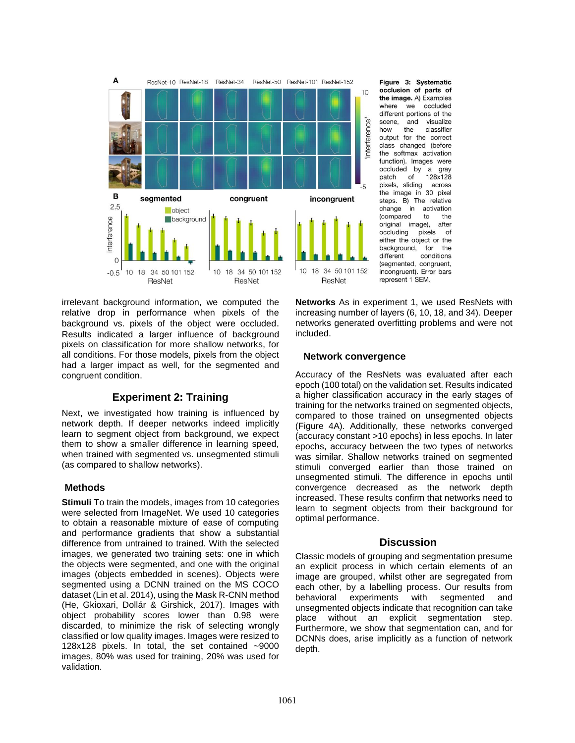

irrelevant background information, we computed the relative drop in performance when pixels of the background vs. pixels of the object were occluded. Results indicated a larger influence of background pixels on classification for more shallow networks, for all conditions. For those models, pixels from the object had a larger impact as well, for the segmented and congruent condition.

# **Experiment 2: Training**

Next, we investigated how training is influenced by network depth. If deeper networks indeed implicitly learn to segment object from background, we expect them to show a smaller difference in learning speed, when trained with segmented vs. unsegmented stimuli (as compared to shallow networks).

## **Methods**

**Stimuli** To train the models, images from 10 categories were selected from ImageNet. We used 10 categories to obtain a reasonable mixture of ease of computing and performance gradients that show a substantial difference from untrained to trained. With the selected images, we generated two training sets: one in which the objects were segmented, and one with the original images (objects embedded in scenes). Objects were segmented using a DCNN trained on the MS COCO dataset (Lin et al. 2014), using the Mask R-CNN method (He, Gkioxari, Dollár & Girshick, 2017). Images with object probability scores lower than 0.98 were discarded, to minimize the risk of selecting wrongly classified or low quality images. Images were resized to 128x128 pixels. In total, the set contained ~9000 images, 80% was used for training, 20% was used for validation.

Figure 3: Systematic occlusion of parts of the image. A) Examples where  $W\Theta$ occluded different portions of the scene, and visualize how the classifier output for the correct class changed (before the softmax activation function). Images were occluded by a gray patch of 128x128 pixels, sliding across the image in 30 pixel steps. B) The relative change in activation *(compared* to the original image), after occluding pixels of either the object or the background, for the different conditions (seamented, congruent, incongruent). Error bars represent 1 SEM.

**Networks** As in experiment 1, we used ResNets with increasing number of layers (6, 10, 18, and 34). Deeper networks generated overfitting problems and were not included.

#### **Network convergence**

Accuracy of the ResNets was evaluated after each epoch (100 total) on the validation set. Results indicated a higher classification accuracy in the early stages of training for the networks trained on segmented objects, compared to those trained on unsegmented objects (Figure 4A). Additionally, these networks converged (accuracy constant >10 epochs) in less epochs. In later epochs, accuracy between the two types of networks was similar. Shallow networks trained on segmented stimuli converged earlier than those trained on unsegmented stimuli. The difference in epochs until convergence decreased as the network depth increased. These results confirm that networks need to learn to segment objects from their background for optimal performance.

## **Discussion**

Classic models of grouping and segmentation presume an explicit process in which certain elements of an image are grouped, whilst other are segregated from each other, by a labelling process. Our results from behavioral experiments with segmented and unsegmented objects indicate that recognition can take place without an explicit segmentation step. Furthermore, we show that segmentation can, and for DCNNs does, arise implicitly as a function of network depth.